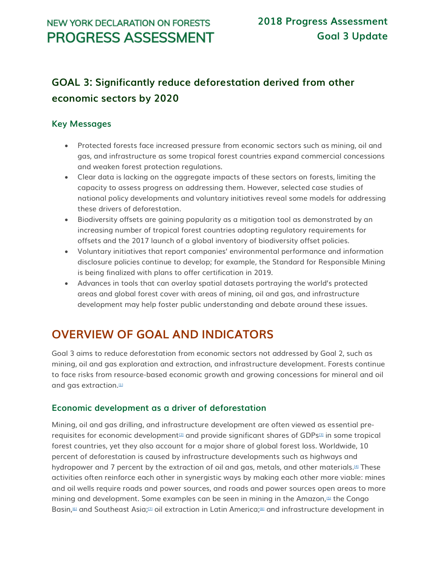## **GOAL 3: Significantly reduce deforestation derived from other economic sectors by 2020**

### **Key Messages**

- Protected forests face increased pressure from economic sectors such as mining, oil and gas, and infrastructure as some tropical forest countries expand commercial concessions and weaken forest protection regulations.
- Clear data is lacking on the aggregate impacts of these sectors on forests, limiting the capacity to assess progress on addressing them. However, selected case studies of national policy developments and voluntary initiatives reveal some models for addressing these drivers of deforestation.
- Biodiversity offsets are gaining popularity as a mitigation tool as demonstrated by an increasing number of tropical forest countries adopting regulatory requirements for offsets and the 2017 launch of a global inventory of biodiversity offset policies.
- Voluntary initiatives that report companies' environmental performance and information disclosure policies continue to develop; for example, the Standard for Responsible Mining is being finalized with plans to offer certification in 2019.
- Advances in tools that can overlay spatial datasets portraying the world's protected areas and global forest cover with areas of mining, oil and gas, and infrastructure development may help foster public understanding and debate around these issues.

# **OVERVIEW OF GOAL AND INDICATORS**

Goal 3 aims to reduce deforestation from economic sectors not addressed by Goal 2, such as mining, oil and gas exploration and extraction, and infrastructure development. Forests continue to face risks from resource-based economic growth and growing concessions for mineral and oil and gas extraction. $H$ 

#### **Economic development as a driver of deforestation**

Mining, oil and gas drilling, and infrastructure development are often viewed as essential pre-requisites for economic development<sup>[\[2\]](http://forestdeclaration.org/goal/goal-3/#_edn2)</sup> and provide significant shares of GDPs<sup>[\[3\]](http://forestdeclaration.org/goal/goal-3/#_edn3)</sup> in some tropical forest countries, yet they also account for a major share of global forest loss. Worldwide, 10 percent of deforestation is caused by infrastructure developments such as highways and hydropower and 7 percent by the extraction of oil and gas, metals, and other materials.<sup>[\[4\]](http://forestdeclaration.org/goal/goal-3/#_edn4)</sup> These activities often reinforce each other in synergistic ways by making each other more viable: mines and oil wells require roads and power sources, and roads and power sources open areas to more mining and development. Some examples can be seen in mining in the Amazon,[\[5\]](http://forestdeclaration.org/goal/goal-3/#_edn5) the Congo Basin,[\[6\]](http://forestdeclaration.org/goal/goal-3/#_edn6) and Southeast Asia;[\[7\]](http://forestdeclaration.org/goal/goal-3/#_edn7) oil extraction in Latin America;[\[8\]](http://forestdeclaration.org/goal/goal-3/#_edn8) and infrastructure development in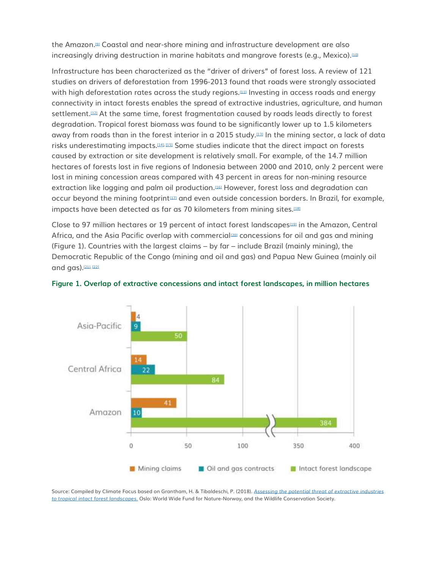the Amazon.[\[9\]](http://forestdeclaration.org/goal/goal-3/#_edn9) Coastal and near-shore mining and infrastructure development are also increasingly driving destruction in marine habitats and mangrove forests (e.g., Mexico).<sup>[\[10\]](http://forestdeclaration.org/goal/goal-3/#_edn10)</sup>

Infrastructure has been characterized as the "driver of drivers" of forest loss. A review of 121 studies on drivers of deforestation from 1996-2013 found that roads were strongly associated with high deforestation rates across the study regions.[\[11\]](http://forestdeclaration.org/goal/goal-3/#_edn11) Investing in access roads and energy connectivity in intact forests enables the spread of extractive industries, agriculture, and human settlement.[\[12\]](http://forestdeclaration.org/goal/goal-3/#_edn12) At the same time, forest fragmentation caused by roads leads directly to forest degradation. Tropical forest biomass was found to be significantly lower up to 1.5 kilometers away from roads than in the forest interior in a 2015 study.<sup>[\[13\]](http://forestdeclaration.org/goal/goal-3/#_edn13)</sup> In the mining sector, a lack of data risks underestimating impacts.[\[14\],](http://forestdeclaration.org/goal/goal-3/#_edn14) [\[15\]](http://forestdeclaration.org/goal/goal-3/#_edn15) Some studies indicate that the direct impact on forests caused by extraction or site development is relatively small. For example, of the 14.7 million hectares of forests lost in five regions of Indonesia between 2000 and 2010, only 2 percent were lost in mining concession areas compared with 43 percent in areas for non-mining resource extraction like logging and palm oil production.<sup>[\[16\]](http://forestdeclaration.org/goal/goal-3/#_edn16)</sup> However, forest loss and degradation can occur beyond the mining footprint[\[17\]](http://forestdeclaration.org/goal/goal-3/#_edn17) and even outside concession borders. In Brazil, for example, impacts have been detected as far as 70 kilometers from mining sites.[\[18\]](http://forestdeclaration.org/goal/goal-3/#_edn18)

Close to 97 million hectares or 19 percent of intact forest landscapes<sup>[\[19\]](http://forestdeclaration.org/goal/goal-3/#_edn19)</sup> in the Amazon, Central Africa, and the Asia Pacific overlap with commercial<sup>[\[20\]](http://forestdeclaration.org/goal/goal-3/#_edn20)</sup> concessions for oil and gas and mining (Figure 1). Countries with the largest claims – by far – include Brazil (mainly mining), the Democratic Republic of the Congo (mining and oil and gas) and Papua New Guinea (mainly oil and  $gas)$ . $[211, 122]$ 



**Figure 1. Overlap of extractive concessions and intact forest landscapes, in million hectares**

Source: Compiled by Climate Focus based on Grantham, H. & Tibaldeschi, P. (2018). *[Assessing the potential threat of extractive industries](https://wwf.panda.org/knowledge_hub/?331793/Report-Assessing-the-potential-threat-of-extractive-industries-to-tropical-intact-forest-landscapes)  [to tropical intact forest landscapes.](https://wwf.panda.org/knowledge_hub/?331793/Report-Assessing-the-potential-threat-of-extractive-industries-to-tropical-intact-forest-landscapes)* Oslo: World Wide Fund for Nature-Norway, and the Wildlife Conservation Society.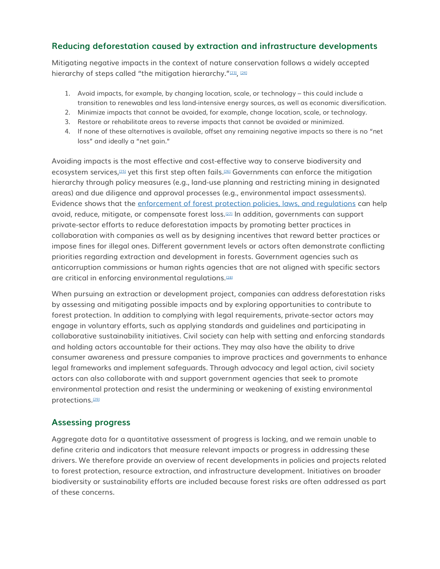### **Reducing deforestation caused by extraction and infrastructure developments**

Mitigating negative impacts in the context of nature conservation follows a widely accepted hierarchy of steps called "the mitigation hierarchy.",

- 1. Avoid impacts, for example, by changing location, scale, or technology this could include a transition to renewables and less land-intensive energy sources, as well as economic diversification.
- 2. Minimize impacts that cannot be avoided, for example, change location, scale, or technology.
- 3. Restore or rehabilitate areas to reverse impacts that cannot be avoided or minimized.
- 4. If none of these alternatives is available, offset any remaining negative impacts so there is no "net loss" and ideally a "net gain."

Avoiding impacts is the most effective and cost-effective way to conserve biodiversity and ecosystem services,[\[25\]](http://forestdeclaration.org/goal/goal-3/#_edn25) yet this first step often fails.[\[26\]](http://forestdeclaration.org/goal/goal-3/#_edn26) Governments can enforce the mitigation hierarchy through policy measures (e.g., land-use planning and restricting mining in designated areas) and due diligence and approval processes (e.g., environmental impact assessments). Evidence shows that the [enforcement of forest protection policies, laws, and regulations](http://forestdeclaration.org/goal/goal-10/) can help avoid, reduce, mitigate, or compensate forest loss.[\[27\]](http://forestdeclaration.org/goal/goal-3/#_edn27) In addition, governments can support private-sector efforts to reduce deforestation impacts by promoting better practices in collaboration with companies as well as by designing incentives that reward better practices or impose fines for illegal ones. Different government levels or actors often demonstrate conflicting priorities regarding extraction and development in forests. Government agencies such as anticorruption commissions or human rights agencies that are not aligned with specific sectors are critical in enforcing environmental regulations.[\[28\]](http://forestdeclaration.org/goal/goal-3/#_edn28)

When pursuing an extraction or development project, companies can address deforestation risks by assessing and mitigating possible impacts and by exploring opportunities to contribute to forest protection. In addition to complying with legal requirements, private-sector actors may engage in voluntary efforts, such as applying standards and guidelines and participating in collaborative sustainability initiatives. Civil society can help with setting and enforcing standards and holding actors accountable for their actions. They may also have the ability to drive consumer awareness and pressure companies to improve practices and governments to enhance legal frameworks and implement safeguards. Through advocacy and legal action, civil society actors can also collaborate with and support government agencies that seek to promote environmental protection and resist the undermining or weakening of existing environmental protections.[\[29\]](http://forestdeclaration.org/goal/goal-3/#_edn29)

#### **Assessing progress**

Aggregate data for a quantitative assessment of progress is lacking, and we remain unable to define criteria and indicators that measure relevant impacts or progress in addressing these drivers. We therefore provide an overview of recent developments in policies and projects related to forest protection, resource extraction, and infrastructure development. Initiatives on broader biodiversity or sustainability efforts are included because forest risks are often addressed as part of these concerns.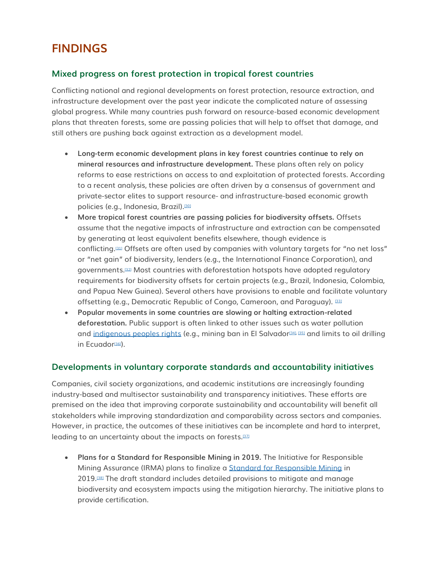## **FINDINGS**

### **Mixed progress on forest protection in tropical forest countries**

Conflicting national and regional developments on forest protection, resource extraction, and infrastructure development over the past year indicate the complicated nature of assessing global progress. While many countries push forward on resource-based economic development plans that threaten forests, some are passing policies that will help to offset that damage, and still others are pushing back against extraction as a development model.

- **Long-term economic development plans in key forest countries continue to rely on mineral resources and infrastructure development.** These plans often rely on policy reforms to ease restrictions on access to and exploitation of protected forests. According to a recent analysis, these policies are often driven by a consensus of government and private-sector elites to support resource- and infrastructure-based economic growth policies (e.g., Indonesia, Brazil).[\[30\]](http://forestdeclaration.org/goal/goal-3/#_edn30)
- **More tropical forest countries are passing policies for biodiversity offsets.** Offsets assume that the negative impacts of infrastructure and extraction can be compensated by generating at least equivalent benefits elsewhere, though evidence is conflicting.[\[31\]](http://forestdeclaration.org/goal/goal-3/#_edn31) Offsets are often used by companies with voluntary targets for "no net loss" or "net gain" of biodiversity, lenders (e.g., the International Finance Corporation), and governments.[\[32\]](http://forestdeclaration.org/goal/goal-3/#_edn32) Most countries with deforestation hotspots have adopted regulatory requirements for biodiversity offsets for certain projects (e.g., Brazil, Indonesia, Colombia, and Papua New Guinea). Several others have provisions to enable and facilitate voluntary offsetting (e.g., Democratic Republic of Congo, Cameroon, and Paraguay). [\[33\]](http://forestdeclaration.org/goal/goal-3/#_edn33)
- **Popular movements in some countries are slowing or halting extraction-related deforestation.** Public support is often linked to other issues such as water pollution and [indigenous peoples rights](http://forestdeclaration.org/goal/goal-10/) (e.g., mining ban in El Salvador<sup>[\[34\],](http://forestdeclaration.org/goal/goal-3/#_edn34) [\[35\]](http://forestdeclaration.org/goal/goal-3/#_edn35)</sup> and limits to oil drilling in Ecuador<sup>[\[36\]](http://forestdeclaration.org/goal/goal-3/#_edn36)</sup>.

#### **Developments in voluntary corporate standards and accountability initiatives**

Companies, civil society organizations, and academic institutions are increasingly founding industry-based and multisector sustainability and transparency initiatives. These efforts are premised on the idea that improving corporate sustainability and accountability will benefit all stakeholders while improving standardization and comparability across sectors and companies. However, in practice, the outcomes of these initiatives can be incomplete and hard to interpret, leading to an uncertainty about the impacts on forests.<sup>[\[37\]](http://forestdeclaration.org/goal/goal-3/#_edn37)</sup>

• **Plans for a Standard for Responsible Mining in 2019.** The Initiative for Responsible Mining Assurance (IRMA) plans to finalize a [Standard for Responsible Mining](http://www.responsiblemining.net/irma-standard) in 2019.[\[38\]](http://forestdeclaration.org/goal/goal-3/#_edn38) The draft standard includes detailed provisions to mitigate and manage biodiversity and ecosystem impacts using the mitigation hierarchy. The initiative plans to provide certification.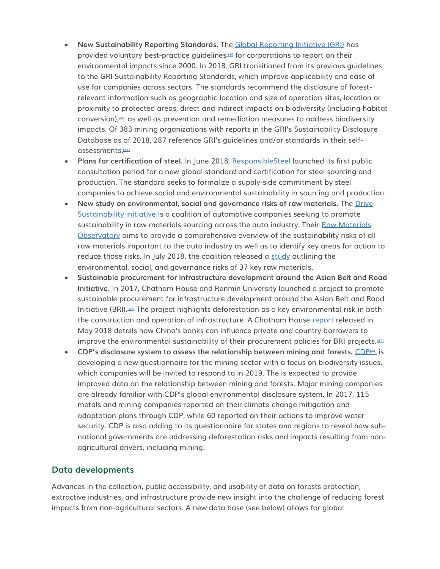- **New Sustainability Reporting Standards.** The [Global Reporting Initiative \(GRI\)](https://www.globalreporting.org/Pages/default.aspx) has provided voluntary best-practice guidelines[\[39\]](http://forestdeclaration.org/goal/goal-3/#_edn39) for corporations to report on their environmental impacts since 2000. In 2018, GRI transitioned from its previous guidelines to the GRI Sustainability Reporting Standards, which improve applicability and ease of use for companies across sectors. The standards recommend the disclosure of forestrelevant information such as geographic location and size of operation sites, location or proximity to protected areas, direct and indirect impacts on biodiversity (including habitat conversion), $401$  as well as prevention and remediation measures to address biodiversity impacts. Of 383 mining organizations with reports in the GRI's Sustainability Disclosure Database as of 2018, 287 reference GRI's guidelines and/or standards in their selfassessments.[\[41\]](http://forestdeclaration.org/goal/goal-3/#_edn41)
- Plans for certification of steel. In June 2018, [ResponsibleSteel](https://www.responsiblesteel.org/) launched its first public consultation period for a new global standard and certification for steel sourcing and production. The standard seeks to formalize a supply-side commitment by steel companies to achieve social and environmental sustainability in sourcing and production.
- **New study on environmental, social and governance risks of raw materials.** The [Drive](https://drivesustainability.org/)  [Sustainability initiative](https://drivesustainability.org/) is a coalition of automotive companies seeking to promote sustainability in raw materials sourcing across the auto industry. Their Raw Materials [Observatory](https://drivesustainability.org/raw-materials/) aims to provide a comprehensive overview of the sustainability risks of all raw materials important to the auto industry as well as to identify key areas for action to reduce those risks. In July 2018, the coalition released a [study](https://drivesustainability.org/wp-content/uploads/2018/07/Material-Change_VF.pdf) outlining the environmental, social, and governance risks of 37 key raw materials.
- **Sustainable procurement for infrastructure development around the Asian Belt and Road Initiative.** In 2017, Chatham House and Renmin University launched a project to promote sustainable procurement for infrastructure development around the Asian Belt and Road Initiative (BRI).[\[42\]](http://forestdeclaration.org/goal/goal-3/#_edn42) The project highlights deforestation as a key environmental risk in both the construction and operation of infrastructure. A Chatham House [report](https://www.chathamhouse.org/publication/role-investors-promoting-sustainable-infrastructure-under-belt-and-road-initiative) released in May 2018 details how China's banks can influence private and country borrowers to improve the environmental sustainability of their procurement policies for BRI projects.<sup>[\[43\]](http://forestdeclaration.org/goal/goal-3/#_edn43)</sup>
- **CDP's disclosure system to assess the relationship between mining and forests.** [CDP](https://www.cdp.net/en/companies/consultation)[\[44\]](http://forestdeclaration.org/goal/goal-3/#_edn44) is developing a new questionnaire for the mining sector with a focus on biodiversity issues, which companies will be invited to respond to in 2019. The is expected to provide improved data on the relationship between mining and forests. Major mining companies are already familiar with CDP's global environmental disclosure system. In 2017, 115 metals and mining companies reported on their climate change mitigation and adaptation plans through CDP, while 60 reported on their actions to improve water security. CDP is also adding to its questionnaire for states and regions to reveal how subnational governments are addressing deforestation risks and impacts resulting from nonagricultural drivers, including mining.

#### **Data developments**

Advances in the collection, public accessibility, and usability of data on forests protection, extractive industries, and infrastructure provide new insight into the challenge of reducing forest impacts from non-agricultural sectors. A new data base (see below) allows for global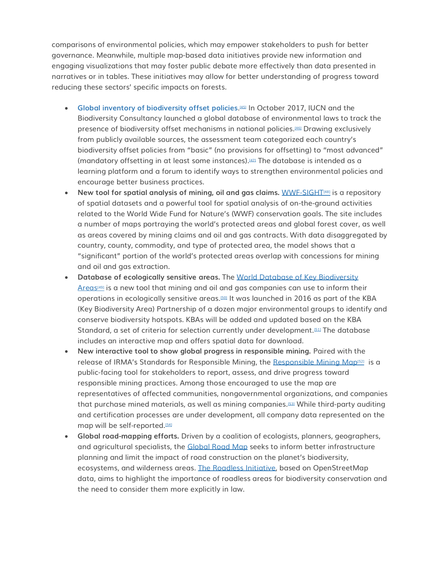comparisons of environmental policies, which may empower stakeholders to push for better governance. Meanwhile, multiple map-based data initiatives provide new information and engaging visualizations that may foster public debate more effectively than data presented in narratives or in tables. These initiatives may allow for better understanding of progress toward reducing these sectors' specific impacts on forests.

- **[Global inventory of biodiversity offset policies](https://portals.iucn.org/offsetpolicy/)**. [\[45\]](http://forestdeclaration.org/goal/goal-3/#_edn45) In October 2017, IUCN and the Biodiversity Consultancy launched a global database of environmental laws to track the presence of biodiversity offset mechanisms in national policies.[\[46\]](http://forestdeclaration.org/goal/goal-3/#_edn46) Drawing exclusively from publicly available sources, the assessment team categorized each country's biodiversity offset policies from "basic" (no provisions for offsetting) to "most advanced" (mandatory offsetting in at least some instances).[\[47\]](http://forestdeclaration.org/goal/goal-3/#_edn47) The database is intended as a learning platform and a forum to identify ways to strengthen environmental policies and encourage better business practices.
- New tool for spatial analysis of mining, oil and gas claims. [WWF-SIGHT](http://wwf-sight.org/)<sup>(48]</sup> is a repository of spatial datasets and a powerful tool for spatial analysis of on-the-ground activities related to the World Wide Fund for Nature's (WWF) conservation goals. The site includes a number of maps portraying the world's protected areas and global forest cover, as well as areas covered by mining claims and oil and gas contracts. With data disaggregated by country, county, commodity, and type of protected area, the model shows that a "significant" portion of the world's protected areas overlap with concessions for mining and oil and gas extraction.
- **Database of ecologically sensitive areas.** The [World Database of Key Biodiversity](http://www.keybiodiversityareas.org/home)   $A$ reas<sup>[\[49\]](http://forestdeclaration.org/goal/goal-3/#_edn49)</sup> is a new tool that mining and oil and gas companies can use to inform their operations in ecologically sensitive areas.[\[50\]](http://forestdeclaration.org/goal/goal-3/#_edn50) It was launched in 2016 as part of the KBA (Key Biodiversity Area) Partnership of a dozen major environmental groups to identify and conserve biodiversity hotspots. KBAs will be added and updated based on the KBA Standard, a set of criteria for selection currently under development.[\[51\]](http://forestdeclaration.org/goal/goal-3/#_edn51) The database includes an interactive map and offers spatial data for download.
- **New interactive tool to show global progress in responsible mining.** Paired with the release of IRMA's Standards for Responsible Mining, the <u>[Responsible Mining Map](https://map.responsiblemining.net/)i521</u> is a public-facing tool for stakeholders to report, assess, and drive progress toward responsible mining practices. Among those encouraged to use the map are representatives of affected communities, nongovernmental organizations, and companies that purchase mined materials, as well as mining companies.[\[53\]](http://forestdeclaration.org/goal/goal-3/#_edn53) While third-party auditing and certification processes are under development, all company data represented on the map will be self-reported.<sup>[\[54\]](http://forestdeclaration.org/goal/goal-3/#_edn54)</sup>
- **Global road-mapping efforts.** Driven by a coalition of ecologists, planners, geographers, and agricultural specialists, the [Global Road Map](https://www.global-roadmap.org/) seeks to inform better infrastructure planning and limit the impact of road construction on the planet's biodiversity, ecosystems, and wilderness areas. [The Roadless Initiative,](http://www.roadless.online/) based on OpenStreetMap data, aims to highlight the importance of roadless areas for biodiversity conservation and the need to consider them more explicitly in law.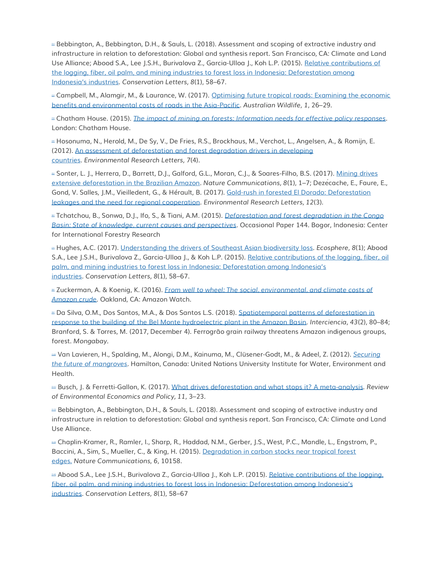[\[1\]](http://forestdeclaration.org/goal/goal-3/#_ednref1) Bebbington, A., Bebbington, D.H., & Sauls, L. (2018). Assessment and scoping of extractive industry and infrastructure in relation to deforestation: Global and synthesis report. San Francisco, CA: Climate and Land Use Alliance; Abood S.A., Lee J.S.H., Burivalova Z., Garcia-Ulloa J., Koh L.P. (2015). [Relative contributions of](https://onlinelibrary.wiley.com/doi/abs/10.1111/conl.12103)  [the logging, fiber, oil palm, and mining industries to forest loss in Indonesia: Deforestation among](https://onlinelibrary.wiley.com/doi/abs/10.1111/conl.12103)  [Indonesia's industries](https://onlinelibrary.wiley.com/doi/abs/10.1111/conl.12103). *Conservation Letters, 8*(1), 58–67.

 $\alpha$  Campbell, M., Alamgir, M., & Laurance, W. (2017). Optimising future tropical roads: Examining the economic [benefits and environmental costs of roads in the Asia-Pacific.](https://researchonline.jcu.edu.au/48803/1/Campbell%20et%20al%2C%202017.pdf) *Australian Wildlife, 1*, 26–29.

[\[3\]](http://forestdeclaration.org/goal/goal-3/#_ednref3) Chatham House. (2015). *[The impact of mining on forests: Information needs for effective policy responses](https://www.chathamhouse.org/sites/default/files/events/special/Mining_workshop_summary_final.pdf)*. London: Chatham House.

[\[4\]](http://forestdeclaration.org/goal/goal-3/#_ednref4) Hosonuma, N., Herold, M., De Sy, V., De Fries, R.S., Brockhaus, M., Verchot, L., Angelsen, A., & Romijn, E. (2012). [An assessment of deforestation and forest degradation drivers in developing](http://iopscience.iop.org/article/10.1088/1748-9326/7/4/044009/meta)  [countries.](http://iopscience.iop.org/article/10.1088/1748-9326/7/4/044009/meta) *Environmental Research Letters, 7*(4).

■ Sonter, L. J., Herrera, D., Barrett, D.J., Galford, G.L., Moran, C.J., & Soares-Filho, B.S. (2017). Mining drives [extensive deforestation in the Brazilian Amazon.](https://www.nature.com/articles/s41467-017-00557-w) *Nature Communications, 8*(1), 1–7; Dezécache, E., Faure, E., Gond, V. Salles, J.M., Vieilledent, G., & Hérault, B. (2017). [Gold-rush in forested El Dorado: Deforestation](http://iopscience.iop.org/article/10.1088/1748-9326/aa6082)  [leakages and the need for regional cooperation.](http://iopscience.iop.org/article/10.1088/1748-9326/aa6082) *Environmental Research Letters, 12*(3).

[\[6\]](http://forestdeclaration.org/goal/goal-3/#_ednref6) Tchatchou, B., Sonwa, D.J., Ifo, S., & Tiani, A.M. (2015). *[Deforestation and forest degradation in the Congo](https://www.cifor.org/library/5894/deforestation-and-forest-degradation-in-the-congo-basin-state-of-knowledge-current-causes-and-perspectives/)  [Basin: State of knowledge, current causes and perspectives](https://www.cifor.org/library/5894/deforestation-and-forest-degradation-in-the-congo-basin-state-of-knowledge-current-causes-and-perspectives/)*. Occasional Paper 144. Bogor, Indonesia: Center for International Forestry Research

[\[7\]](http://forestdeclaration.org/goal/goal-3/#_ednref7) Hughes, A.C. (2017). [Understanding the drivers of Southeast Asian biodiversity loss.](https://esajournals.onlinelibrary.wiley.com/doi/full/10.1002/ecs2.1624) *Ecosphere, 8*(1); Abood S.A., Lee J.S.H., Burivalova Z., Garcia-Ulloa J., & Koh L.P. (2015). [Relative contributions of the logging, fiber, oil](https://onlinelibrary.wiley.com/doi/abs/10.1111/conl.12103)  palm, and mining indu[stries to forest loss in Indonesia: Deforestation among Indonesia's](https://onlinelibrary.wiley.com/doi/abs/10.1111/conl.12103)  [industries.](https://onlinelibrary.wiley.com/doi/abs/10.1111/conl.12103) *Conservation Letters, 8*(1), 58–67.

[\[8\]](http://forestdeclaration.org/goal/goal-3/#_ednref8) Zuckerman, A. & Koenig, K. (2016). *[From well to wheel: The social, environmental, and climate costs of](https://amazonwatch.org/assets/files/2016-amazon-crude-report.pdf)  [Amazon crude](https://amazonwatch.org/assets/files/2016-amazon-crude-report.pdf)*. Oakland, CA: Amazon Watch.

**Da Silva, O.M., Dos Santos, M.A., & Dos Santos L.S. (2018). Spatiotemporal patterns of deforestation in** [response to the building of the Bel Monte hydroelectric plant in the Amazon Basin.](https://www.interciencia.net/wp-content/uploads/2018/03/80-MARQUES-43_02.pdf) *Interciencia, 43*(2), 80–84; Branford, S. & Torres, M. (2017, December 4). Ferrogrão grain railway threatens Amazon indigenous groups, forest. *Mongabay.*

[\[10\]](http://forestdeclaration.org/goal/goal-3/#_ednref10) Van Lavieren, H., Spalding, M., Alongi, D.M., Kainuma, M., Clüsener-Godt, M., & Adeel, Z. (2012). *[Securing](http://www.unesco.org/science/doc/mab/MangrovesPolicyBrief2012_FINAL_OCT17_WEB.pdf)  [the future of mangroves](http://www.unesco.org/science/doc/mab/MangrovesPolicyBrief2012_FINAL_OCT17_WEB.pdf)*. Hamilton, Canada: United Nations University Institute for Water, Environment and Health.

[\[11\]](http://forestdeclaration.org/goal/goal-3/#_ednref11) Busch, J. & Ferretti-Gallon, K. (2017). [What drives deforestation and what stops it? A meta-analysis.](https://academic.oup.com/reep/article/11/1/3/3066302) *Review of Environmental Economics and Policy, 11*, 3–23.

[\[12\]](http://forestdeclaration.org/goal/goal-3/#_ednref12) Bebbington, A., Bebbington, D.H., & Sauls, L. (2018). Assessment and scoping of extractive industry and infrastructure in relation to deforestation: Global and synthesis report. San Francisco, CA: Climate and Land Use Alliance.

[\[13\]](http://forestdeclaration.org/goal/goal-3/#_ednref13) Chaplin-Kramer, R., Ramler, I., Sharp, R., Haddad, N.M., Gerber, J.S., West, P.C., Mandle, L., Engstrom, P., Baccini, A., Sim, S., Mueller, C., & King, H. (2015). [Degradation in carbon stocks near tropical forest](https://www.nature.com/articles/ncomms10158)  [edges.](https://www.nature.com/articles/ncomms10158) *Nature Communications, 6*, 10158.

[\[14\]](http://forestdeclaration.org/goal/goal-3/#_ednref14) Abood S.A., Lee J.S.H., Burivalova Z., Garcia-Ulloa J., Koh L.P. (2015). [Relative contributions of the logging,](https://onlinelibrary.wiley.com/doi/abs/10.1111/conl.12103)  [fiber, oil palm, and mining industries to forest loss in Indonesia: D](https://onlinelibrary.wiley.com/doi/abs/10.1111/conl.12103)eforestation among Indonesia's [industries.](https://onlinelibrary.wiley.com/doi/abs/10.1111/conl.12103) *Conservation Letters, 8*(1), 58–67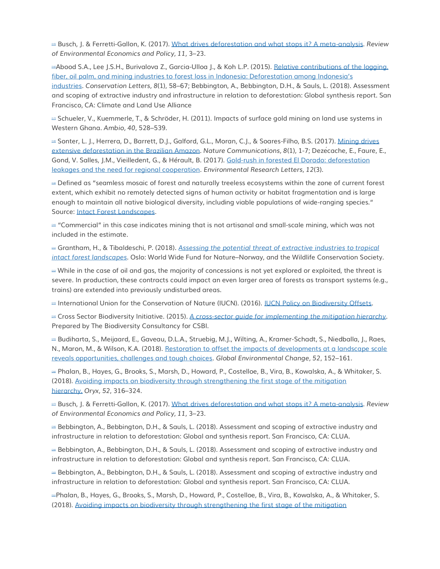[\[15\]](http://forestdeclaration.org/goal/goal-3/#_ednref15) Busch, J. & Ferretti-Gallon, K. (2017). [What drives deforestation and what stops it? A meta-analysis.](https://academic.oup.com/reep/article/11/1/3/3066302) *Review of Environmental Economics and Policy, 11*, 3–23.

[A](http://forestdeclaration.org/goal/goal-3/#_ednref16)bood S.A., Lee J.S.H., Burivalova Z., Garcia-Ulloa J., & Koh L.P. (2015). Relative contributions of the logging, fiber, oil palm, and [mining industries to forest loss in Indonesia: Deforestation among Indonesia's](https://onlinelibrary.wiley.com/doi/abs/10.1111/conl.12103) 

[industries.](https://onlinelibrary.wiley.com/doi/abs/10.1111/conl.12103) *Conservation Letters, 8*(1), 58–67; Bebbington, A., Bebbington, D.H., & Sauls, L. (2018). Assessment and scoping of extractive industry and infrastructure in relation to deforestation: Global synthesis report. San Francisco, CA: Climate and Land Use Alliance

[\[17\]](http://forestdeclaration.org/goal/goal-3/#_ednref17) Schueler, V., Kuemmerle, T., & Schröder, H. (2011). Impacts of surface gold mining on land use systems in Western Ghana. *Ambio, 40*, 528–539.

Lau Sonter, L. J., Herrera, D., Barrett, D.J., Galford, G.L., Moran, C.J., & Soares-Filho, B.S. (2017). Mining drives [extensive deforestation in the Brazilian](https://www.nature.com/articles/s41467-017-00557-w) Amazon. *Nature Communications, 8*(1), 1-7; Dezécache, E., Faure, E., Gond, V. Salles, J.M., Vieilledent, G., & Hérault, B. (2017). [Gold-rush in forested El Dorado: deforestation](http://iopscience.iop.org/article/10.1088/1748-9326/aa6082)  [leakages and the need for regional cooperation.](http://iopscience.iop.org/article/10.1088/1748-9326/aa6082) *Environmental Research Letters, 12*(3).

[\[19\]](http://forestdeclaration.org/goal/goal-3/#_ednref19) Defined as "seamless mosaic of forest and naturally treeless ecosystems within the zone of current forest extent, which exhibit no remotely detected signs of human activity or habitat fragmentation and is large enough to maintain all native biological diversity, including viable populations of wide-ranging species." Source: [Intact Forest Landscapes.](http://www.intactforests.org/)

[\[20\]](http://forestdeclaration.org/goal/goal-3/#_ednref20) "Commercial" in this case indicates mining that is not artisanal and small-scale mining, which was not included in the estimate.

[\[21\]](http://forestdeclaration.org/goal/goal-3/#_ednref21) Grantham, H., & Tibaldeschi, P. (2018). *[Assessing the potential threat of extractive industries to tropical](http://wwf-sight.org/wp-content/uploads/2018/06/WWF-WCS-IFL-REPORT-2018.pdf)  [intact forest landscapes](http://wwf-sight.org/wp-content/uploads/2018/06/WWF-WCS-IFL-REPORT-2018.pdf)*. Oslo: World Wide Fund for Nature–Norway, and the Wildlife Conservation Society.

 $\omega$  While in the case of oil and gas, the majority of concessions is not yet explored or exploited, the threat is severe. In production, these contracts could impact an even larger area of forests as transport systems (e.g., trains) are extended into previously undisturbed areas.

**EXECUTE: International Union for the Conservation of Nature (IUCN). (2016). [IUCN Policy on Biodiversity Offsets.](http://cmsdata.iucn.org/downloads/iucn_biodiversity_offsets_policy_jan_29_2016.pdf)** 

[\[24\]](http://forestdeclaration.org/goal/goal-3/#_ednref24) Cross Sector Biodiversity Initiative. (2015). *[A cross-sector guide for implementing the mitigation hierarchy](https://www.icmm.com/website/publications/pdfs/biodiversity/cross-sector-guide-mitigation-hierarchy)*. Prepared by The Biodiversity Consultancy for CSBI.

[\[25\]](http://forestdeclaration.org/goal/goal-3/#_ednref25) Budiharta, S., Meijaard, E., Gaveau, D.L.A., Struebig, M.J., Wilting, A., Kramer-Schadt, S., Niedballa, J., Raes, N., Maron, M., & Wilson, K.A. (2018). [Restoration to offset the impacts of developments at a landscape scale](https://www.sciencedirect.com/science/article/pii/S0959378017310622)  [reveals opportunities, challenges and tough choices](https://www.sciencedirect.com/science/article/pii/S0959378017310622)*. Global Environmental Change, 52*, 152–161.

[\[26\]](http://forestdeclaration.org/goal/goal-3/#_ednref26) Phalan, B., Hayes, G., Brooks, S., Marsh, D., Howard, P., Costelloe, B., Vira, B., Kowalska, A., & Whitaker, S. (2018). [Avoiding impacts on biodiversity through strengthening the first stage of the mitigation](https://www.cambridge.org/core/journals/oryx/article/div-classtitleavoiding-impacts-on-biodiversity-through-strengthening-the-first-stage-of-the-mitigation-hierarchydiv/DDBA2EA1D468985A9CE5D089ABC5FAD5)  [hierarchy.](https://www.cambridge.org/core/journals/oryx/article/div-classtitleavoiding-impacts-on-biodiversity-through-strengthening-the-first-stage-of-the-mitigation-hierarchydiv/DDBA2EA1D468985A9CE5D089ABC5FAD5) *Oryx, 52*, 316–324.

[\[27\]](http://forestdeclaration.org/goal/goal-3/#_ednref27) Busch, J. & Ferretti-Gallon, K. (2017). [What drives deforestation and what stops it? A meta-analysis.](https://academic.oup.com/reep/article/11/1/3/3066302) *Review of Environmental Economics and Policy, 11*, 3–23.

[\[28\]](http://forestdeclaration.org/goal/goal-3/#_ednref28) Bebbington, A., Bebbington, D.H., & Sauls, L. (2018). Assessment and scoping of extractive industry and infrastructure in relation to deforestation: Global and synthesis report. San Francisco, CA: CLUA.

[\[29\]](http://forestdeclaration.org/goal/goal-3/#_ednref29) Bebbington, A., Bebbington, D.H., & Sauls, L. (2018). Assessment and scoping of extractive industry and infrastructure in relation to deforestation: Global and synthesis report. San Francisco, CA: CLUA.

[\[30\]](http://forestdeclaration.org/goal/goal-3/#_ednref30) Bebbington, A., Bebbington, D.H., & Sauls, L. (2018). Assessment and scoping of extractive industry and infrastructure in relation to deforestation: Global and synthesis report. San Francisco, CA: CLUA.

[31][P](http://forestdeclaration.org/goal/goal-3/#_ednref31)halan, B., Hayes, G., Brooks, S., Marsh, D., Howard, P., Costelloe, B., Vira, B., Kowalska, A., & Whitaker, S. (2018). [Avoiding impacts on biodiversity through strengthening the first stage of the mitigation](https://www.cambridge.org/core/journals/oryx/article/div-classtitleavoiding-impacts-on-biodiversity-through-strengthening-the-first-stage-of-the-mitigation-hierarchydiv/DDBA2EA1D468985A9CE5D089ABC5FAD5)